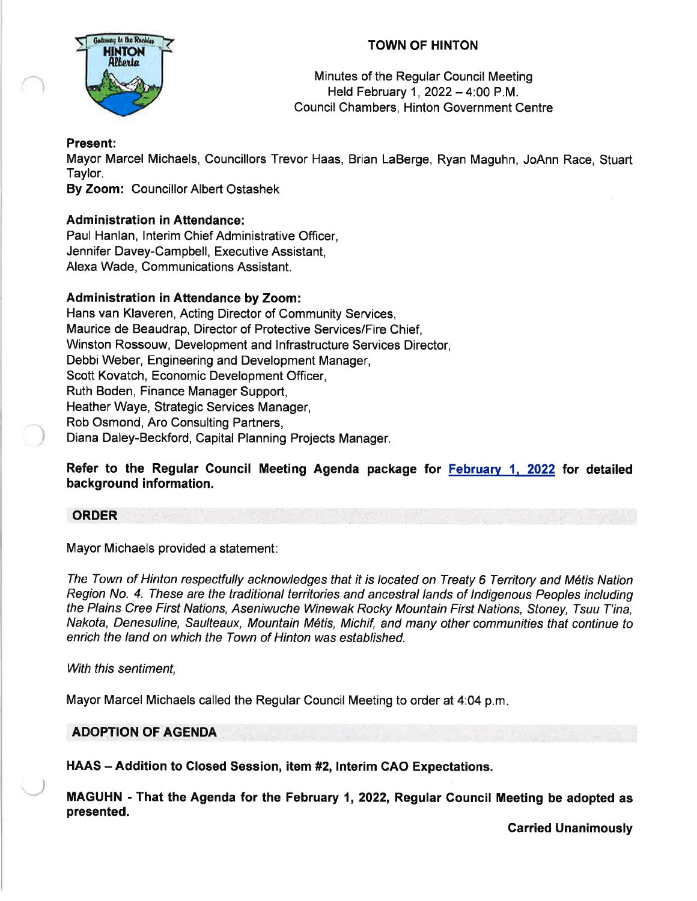# TOWN OF HINTON



Minutes of the Regular Council Meeting Held February 1,2022-4:00 P.M. Council Chambers, Hinton Government Centre

# Present:

Mayor Marcel Michaels, Councillors Trevor Haas, Brian LaBerge, Ryan Maguhn, JoAnn Race, Stuart Taylor.

By Zoom: Councillor Albert Ostashek

# Administration in Attendance:

Paul Hanlan, lnterim Chief Administrative Officer, Jennifer Davey-Campbell, Executive Assistant, Alexa Wade, Communications Assistant.

# Administration in Attendance by Zoom:

Hans van Klaveren, Acting Director of Community Services, Maurice de Beaudrap, Director of Protective Services/Fire Chief, Winston Rossouw, Development and lnfrastructure Services Director, Debbi Weber, Engineering and Development Manager, Scott Kovatch, Economic Development Officer, Ruth Boden, Finance Manager Support, Heather Waye, Strategic Services Manager, Rob Osmond, Aro Consulting Partners, Diana Daley-Beckford, Capital Planning Projects Manager.

Refer to the Regular Council Meeting Agenda package for February 1, 2022 for detailed background information.

## ORDER

Mayor Michaels provided a statement

The Town of Hinton respectfully acknowledges that it is located on Treaty 6 Territory and M6tis Nation Region No. 4. Ihese are the traditional territories and ancestral lands of lndigenous Peoples including the Plains Cree First Nations, Aseniwuche Winewak Rocky Mountain First Nations, Sfoney, Tsuu T'ina, Nakota, Denesuline, Saulteaux, Mountain M6tis, Michif, and many other communities that continue to enrich the land on which the Town of Hinton was established.

With this sentiment,

Mayor Marcel Michaels called the Regular Council Meeting to order at 4:04 p.m

ADOPTION OF AGENDA

HAAS - Addition to Closed Session, item #2, Interim CAO Expectations.

MAGUHN - That the Agenda for the February 1,2022, Regular Council Meeting be adopted as presented.

Garried Unanimously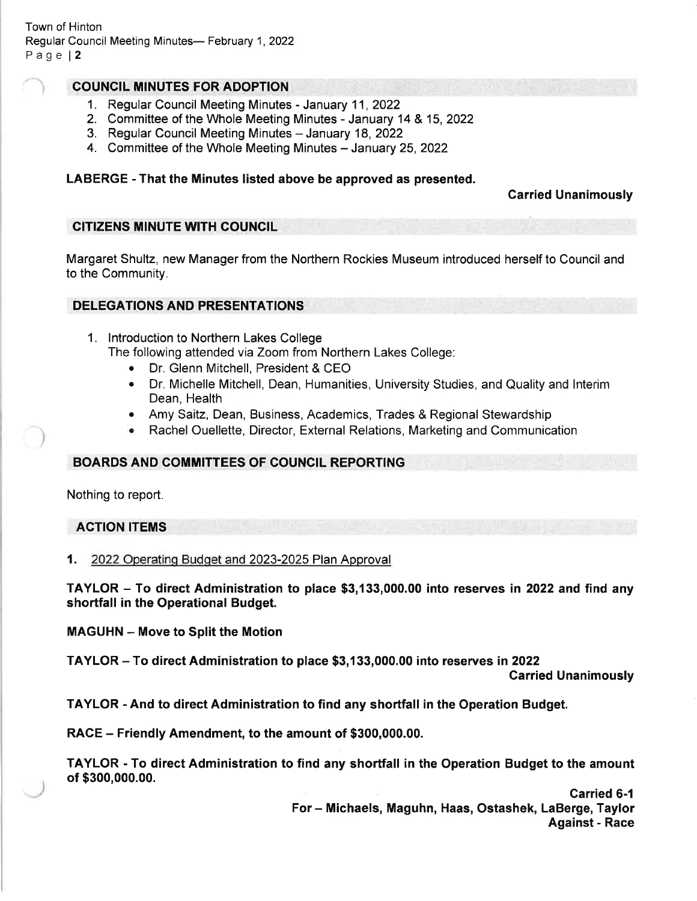## COUNCIL MINUTES FOR ADOPTION

- 1. Regular Council Meeting Minutes January 11,2022
- 2. Committee of the Whole Meeting Minutes January 14 & 15,2022
- 3. Regular Council Meeting Minutes January 18, 2022
- 4. Committee of the Whole Meeting Minutes January 25, 2022

## LABERGE - That the Minutes listed above be approved as presented.

## Garried Unanimously

## CITIZENS MINUTE WITH COUNCIL

Margaret Shultz, new Manager from the Northern Rockies Museum introduced herself to Council and to the Community.

### DELEGATIONS AND PRESENTATIONS

- 1. lntroduction to Northern Lakes College The following attended via Zoom from Northern Lakes College:
	- . Dr. Glenn Mitchell, President & CEO
	- . Dr. Michelle Mitchell, Dean, Humanities, University Studies, and Quality and lnterim Dean, Health
	- . Amy Saitz, Dean, Business, Academics, Trades & Regional Stewardship
	- Rachel Ouellette, Director, External Relations, Marketing and Communication

## BOARDS AND COMMITTEES OF COUNCIL REPORTING

Nothing to report.

#### ACTION ITEMS

#### 1. 2022 Operating Budget and 2023-2025 Plan Approval

TAYLOR - To direct Administration to place \$3,133,000.00 into reserves in 2022 and find any shortfall in the Operational Budget.

MAGUHN - Move to Split the Motion

TAYLOR - To direct Administration to place \$3,133,000.00 into reserves in 2022

Carried Unanimously

TAYLOR - And to direct Administration to find any shortfall in the Operation Budget.

RAGE - Friendly Amendment, to the amount of \$300,000.00.

TAYLOR - To direct Administration to find any shortfall in the Operation Budget to the amount of \$300,000.00.

> Carried 6-1 For - Michaels, Maguhn, Haas, Ostashek, LaBerge, Taylor Against - Race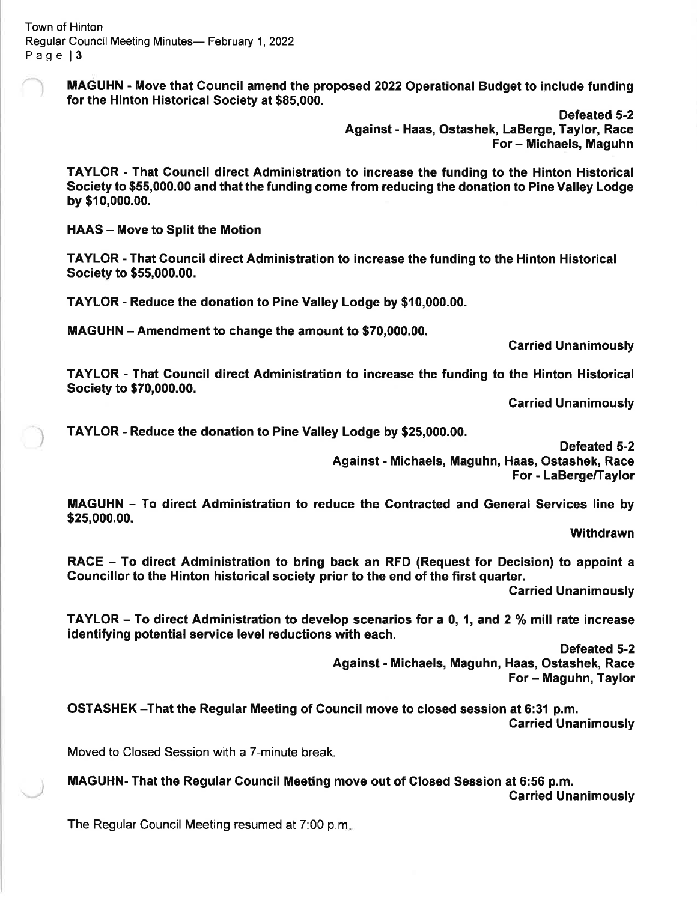MAGUHN - Move that Gouncil amend the proposed 2022 Operational Budget to include funding for the Hinton Historical Society at \$85,000.

> Defeated 5-2 Against - Haas, Ostashek, LaBerge, Taylor, Race For - Michaels, Maguhn

TAYLOR - That Council direct Administration to increase the funding to the Hinton Historical Society to \$55,000.00 and that the funding come from reducing the donation to Pine Valley Lodge by \$10,000.00.

HAAS - Move to Split the Motion

TAYLOR - That Council direct Administration to increase the funding to the Hinton Historical Society to \$55,000.00.

TAYLOR - Reduce the donation to Pine Valley Lodge by \$10,000.00.

MAGUHN - Amendment to change the amount to \$70,000.00.

Carried Unanimously

TAYLOR - That Gouncil direct Administration to increase the funding to the Hinton Historical Society to \$70,000.00.

Carried Unanimously

TAYLOR - Reduce the donation to Pine Valley Lodge by \$25,000.00.

Defeated 5-2 Against - Michaels, Maguhn, Haas, Ostashek, Race For - LaBerge/Taylor

MAGUHN - To direct Administration to reduce the Contracted and General Services line by \$25,000.00.

**Withdrawn** 

RACE - To direct Administration to bring back an RFD (Request for Decision) to appoint a Councillor to the Hinton historical society prior to the end of the first quarter.

Garried Unanimously

TAYLOR - To direct Administration to develop scenarios for a 0, 1, and 2 % mill rate increase identifying potential service level reductions with each.

> Defeated 5-2 Against - Michaels, Maguhn, Haas, Ostashek, Race For - Maguhn, Taylor

OSTASHEK -That the Regular Meeting of Council move to closed session at 6:31 p.m. Carried Unanimously

Moved to Closed Session with a 7-minute break.

MAGUHN- That the Regular Gouncil Meeting move out of Closed Session at 6:56 p.m.

Carried Unanimously

The Regular Council Meeting resumed at 7:00 p.m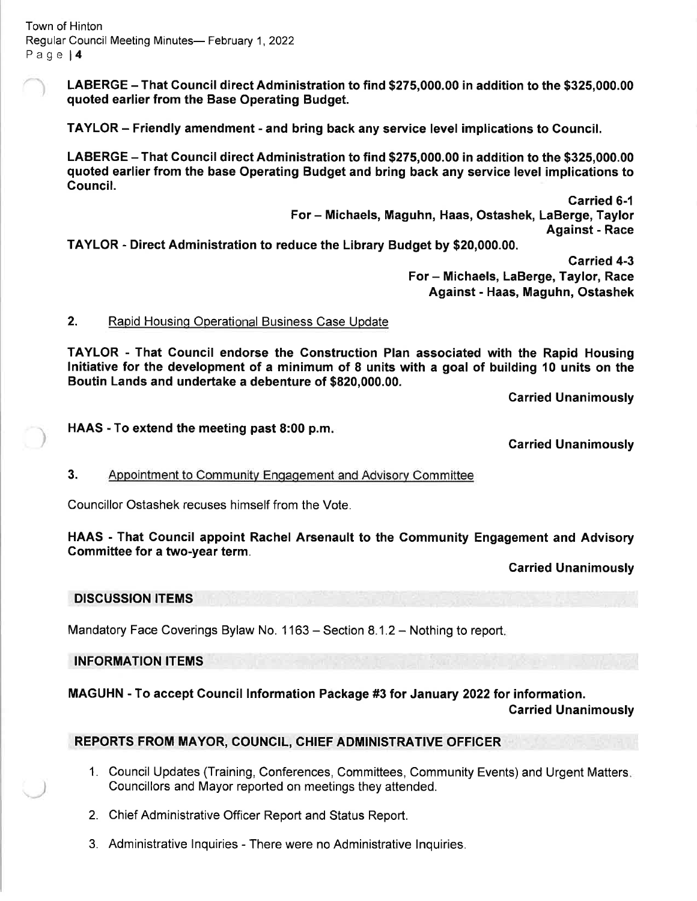LABERGE - That Council direct Administration to find \$275,000.00 in addition to the \$325,000.00 quoted earlier from the Base Operating Budget.

TAYLOR - Friendly amendment - and bring back any service level implications to Gouncil.

LABERGE - That Council direct Administration to find \$275,000.00 in addition to the \$325,000.00 quoted earlier from the base Operating Budget and bring back any service level implications to Gouncil.

Garried 6-1 For - Michaels, Maguhn, Haas, Ostashek, LaBerge, Taylor Against - Race TAYLOR - Direct Administration to reduce the Library Budget by \$20,000.00.

Garried 4-3 For - Michaels, LaBerge, Taylor, Race Against - Haas, Maguhn, Ostashek

# 2. Rapid Housing Operational Business Case Update

TAYLOR - That Gouncil endorse the Gonstruction Plan associated with the Rapid Housing lnitiative for the development of a minimum of 8 units with a goal of building 10 units on the Boutin Lands and undertake a debenture of \$820,000.00.

Carried Unanimously

HAAS - To extend the meeting past 8:00 p.m

Garried Unanimously

# 3. Appointment to Communitv Engaqement and Advisorv Committee

Councillor Ostashek recuses himself from the Vote.

HAAS - That Gouncil appoint Rachel Arsenault to the Community Engagement and Advisory Gommittee for a two-year term.

Carried Unanimously

## DISCUSSION ITEMS

Mandatory Face Coverings Bylaw No. 1163 – Section 8.1.2 – Nothing to report.

## INFORMATION ITEMS

# MAGUHN - To accept Council Information Package #3 for January 2022 for information.

Carried Unanimously

# REPORTS FROM MAYOR, COUNCIL, CHIEF ADMINISTRATIVE OFFICER

- 1. Council Updates (Training, Conferences, Committees, Community Events)and Urgent Matters Councillors and Mayor reported on meetings they attended.
- 2. Chief Administrative Officer Report and Status Report.
- 3. Administrative lnquiries There were no Administrative lnquiries.